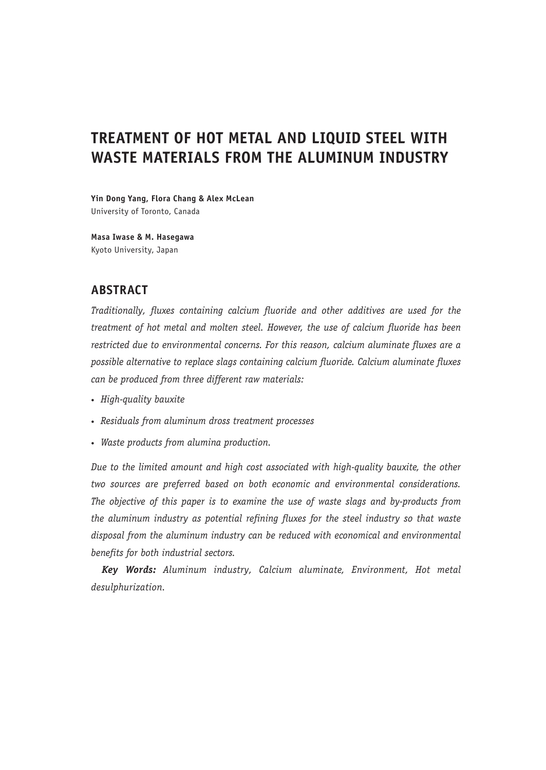# **TREATMENT OF HOT METAL AND LIQUID STEEL WITH WASTE MATERIALS FROM THE ALUMINUM INDUSTRY**

**Yin Dong Yang, Flora Chang & Alex McLean** University of Toronto, Canada

**Masa Iwase & M. Hasegawa** Kyoto University, Japan

## **ABSTRACT**

*Traditionally, fluxes containing calcium fluoride and other additives are used for the treatment of hot metal and molten steel. However, the use of calcium fluoride has been restricted due to environmental concerns. For this reason, calcium aluminate fluxes are a possible alternative to replace slags containing calcium fluoride. Calcium aluminate fluxes can be produced from three different raw materials:*

- • *High-quality bauxite*
- • *Residuals from aluminum dross treatment processes*
- • *Waste products from alumina production.*

*Due to the limited amount and high cost associated with high-quality bauxite, the other two sources are preferred based on both economic and environmental considerations. The objective of this paper is to examine the use of waste slags and by-products from the aluminum industry as potential refining fluxes for the steel industry so that waste disposal from the aluminum industry can be reduced with economical and environmental benefits for both industrial sectors.*

*Key Words: Aluminum industry, Calcium aluminate, Environment, Hot metal desulphurization.*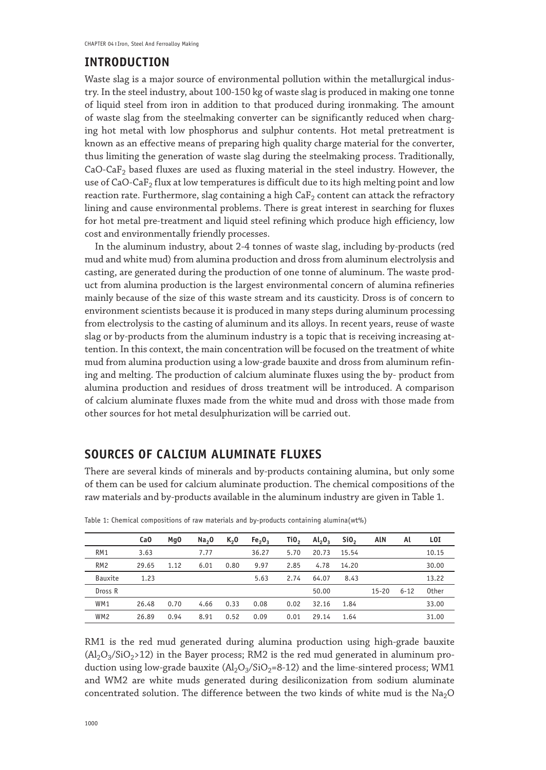## **INTRODUCTION**

Waste slag is a major source of environmental pollution within the metallurgical industry. In the steel industry, about 100-150 kg of waste slag is produced in making one tonne of liquid steel from iron in addition to that produced during ironmaking. The amount of waste slag from the steelmaking converter can be significantly reduced when charging hot metal with low phosphorus and sulphur contents. Hot metal pretreatment is known as an effective means of preparing high quality charge material for the converter, thus limiting the generation of waste slag during the steelmaking process. Traditionally, CaO-Ca $F_2$  based fluxes are used as fluxing material in the steel industry. However, the use of CaO-CaF<sub>2</sub> flux at low temperatures is difficult due to its high melting point and low reaction rate. Furthermore, slag containing a high  $\mathsf{CaF}_2$  content can attack the refractory lining and cause environmental problems. There is great interest in searching for fluxes for hot metal pre-treatment and liquid steel refining which produce high efficiency, low cost and environmentally friendly processes.

In the aluminum industry, about 2-4 tonnes of waste slag, including by-products (red mud and white mud) from alumina production and dross from aluminum electrolysis and casting, are generated during the production of one tonne of aluminum. The waste product from alumina production is the largest environmental concern of alumina refineries mainly because of the size of this waste stream and its causticity. Dross is of concern to environment scientists because it is produced in many steps during aluminum processing from electrolysis to the casting of aluminum and its alloys. In recent years, reuse of waste slag or by-products from the aluminum industry is a topic that is receiving increasing attention. In this context, the main concentration will be focused on the treatment of white mud from alumina production using a low-grade bauxite and dross from aluminum refining and melting. The production of calcium aluminate fluxes using the by- product from alumina production and residues of dross treatment will be introduced. A comparison of calcium aluminate fluxes made from the white mud and dross with those made from other sources for hot metal desulphurization will be carried out.

## **SOURCES OF CALCIUM ALUMINATE FLUXES**

There are several kinds of minerals and by-products containing alumina, but only some of them can be used for calcium aluminate production. The chemical compositions of the raw materials and by-products available in the aluminum industry are given in Table 1.

|                 | Ca <sub>0</sub> | Mq0  | Na <sub>2</sub> 0 | K <sub>2</sub> 0 | Fe <sub>2</sub> O <sub>3</sub> | TiO, | $Al_2O_3$ | Si <sub>0</sub> | AIN       | Al       | LOI   |
|-----------------|-----------------|------|-------------------|------------------|--------------------------------|------|-----------|-----------------|-----------|----------|-------|
| RM <sub>1</sub> | 3.63            |      | 7.77              |                  | 36.27                          | 5.70 | 20.73     | 15.54           |           |          | 10.15 |
| RM <sub>2</sub> | 29.65           | 1.12 | 6.01              | 0.80             | 9.97                           | 2.85 | 4.78      | 14.20           |           |          | 30.00 |
| Bauxite         | 1.23            |      |                   |                  | 5.63                           | 2.74 | 64.07     | 8.43            |           |          | 13.22 |
| Dross R         |                 |      |                   |                  |                                |      | 50.00     |                 | $15 - 20$ | $6 - 12$ | 0ther |
| WM1             | 26.48           | 0.70 | 4.66              | 0.33             | 0.08                           | 0.02 | 32.16     | 1.84            |           |          | 33.00 |
| WM <sub>2</sub> | 26.89           | 0.94 | 8.91              | 0.52             | 0.09                           | 0.01 | 29.14     | 1.64            |           |          | 31.00 |

Table 1: Chemical compositions of raw materials and by-products containing alumina(wt%)

RM1 is the red mud generated during alumina production using high-grade bauxite  $(Al_2O_3/SiO_2>12)$  in the Bayer process; RM2 is the red mud generated in aluminum production using low-grade bauxite  $(Al_2O_3/SiO_2=8-12)$  and the lime-sintered process; WM1 and WM2 are white muds generated during desiliconization from sodium aluminate concentrated solution. The difference between the two kinds of white mud is the  $Na<sub>2</sub>O$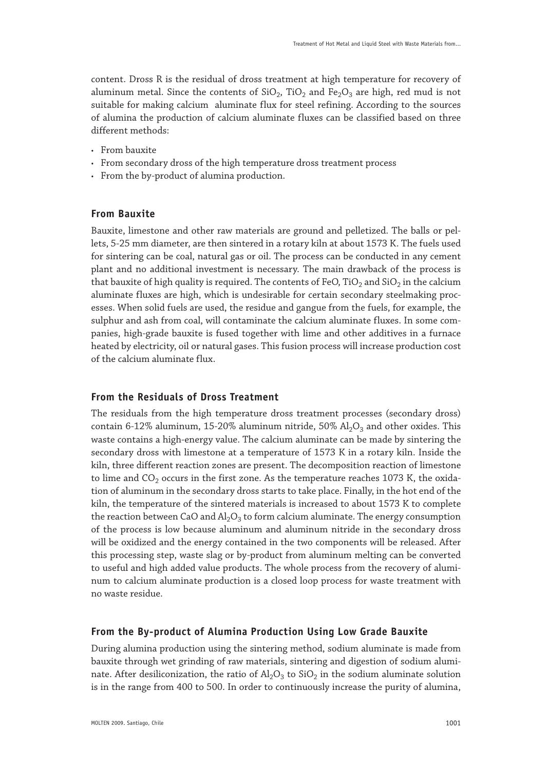content. Dross R is the residual of dross treatment at high temperature for recovery of aluminum metal. Since the contents of  $SiO<sub>2</sub>$ , TiO<sub>2</sub> and Fe<sub>2</sub>O<sub>3</sub> are high, red mud is not suitable for making calcium aluminate flux for steel refining. According to the sources of alumina the production of calcium aluminate fluxes can be classified based on three different methods:

- • From bauxite
- From secondary dross of the high temperature dross treatment process
- • From the by-product of alumina production.

#### **From Bauxite**

Bauxite, limestone and other raw materials are ground and pelletized. The balls or pellets, 5-25 mm diameter, are then sintered in a rotary kiln at about 1573 K. The fuels used for sintering can be coal, natural gas or oil. The process can be conducted in any cement plant and no additional investment is necessary. The main drawback of the process is that bauxite of high quality is required. The contents of FeO, TiO<sub>2</sub> and SiO<sub>2</sub> in the calcium aluminate fluxes are high, which is undesirable for certain secondary steelmaking processes. When solid fuels are used, the residue and gangue from the fuels, for example, the sulphur and ash from coal, will contaminate the calcium aluminate fluxes. In some companies, high-grade bauxite is fused together with lime and other additives in a furnace heated by electricity, oil or natural gases. This fusion process will increase production cost of the calcium aluminate flux.

#### **From the Residuals of Dross Treatment**

The residuals from the high temperature dross treatment processes (secondary dross) contain 6-12% aluminum, 15-20% aluminum nitride, 50%  $Al_2O_3$  and other oxides. This waste contains a high-energy value. The calcium aluminate can be made by sintering the secondary dross with limestone at a temperature of 1573 K in a rotary kiln. Inside the kiln, three different reaction zones are present. The decomposition reaction of limestone to lime and  $CO<sub>2</sub>$  occurs in the first zone. As the temperature reaches 1073 K, the oxidation of aluminum in the secondary dross starts to take place. Finally, in the hot end of the kiln, the temperature of the sintered materials is increased to about 1573 K to complete the reaction between CaO and  $Al_2O_3$  to form calcium aluminate. The energy consumption of the process is low because aluminum and aluminum nitride in the secondary dross will be oxidized and the energy contained in the two components will be released. After this processing step, waste slag or by-product from aluminum melting can be converted to useful and high added value products. The whole process from the recovery of aluminum to calcium aluminate production is a closed loop process for waste treatment with no waste residue.

#### **From the By-product of Alumina Production Using Low Grade Bauxite**

During alumina production using the sintering method, sodium aluminate is made from bauxite through wet grinding of raw materials, sintering and digestion of sodium aluminate. After desiliconization, the ratio of  $\text{Al}_2\text{O}_3$  to SiO<sub>2</sub> in the sodium aluminate solution is in the range from 400 to 500. In order to continuously increase the purity of alumina,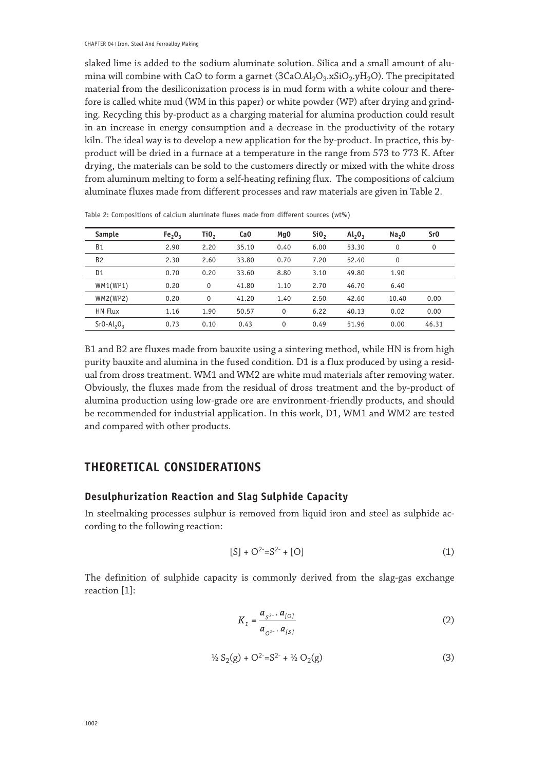slaked lime is added to the sodium aluminate solution. Silica and a small amount of alumina will combine with CaO to form a garnet  $(3CaO.AI<sub>2</sub>O<sub>3</sub>.xSiO<sub>2</sub>.yH<sub>2</sub>O)$ . The precipitated material from the desiliconization process is in mud form with a white colour and therefore is called white mud (WM in this paper) or white powder (WP) after drying and grinding. Recycling this by-product as a charging material for alumina production could result in an increase in energy consumption and a decrease in the productivity of the rotary kiln. The ideal way is to develop a new application for the by-product. In practice, this byproduct will be dried in a furnace at a temperature in the range from 573 to 773 K. After drying, the materials can be sold to the customers directly or mixed with the white dross from aluminum melting to form a self-heating refining flux. The compositions of calcium aluminate fluxes made from different processes and raw materials are given in Table 2.

| Sample         | $Fe_2O_3$ | TiO,     | Ca <sub>0</sub> | Mq0  | SiO <sub>2</sub> | $Al_2O_3$ | Na <sub>2</sub> 0 | Sr <sub>0</sub> |
|----------------|-----------|----------|-----------------|------|------------------|-----------|-------------------|-----------------|
| <b>B1</b>      | 2.90      | 2.20     | 35.10           | 0.40 | 6.00             | 53.30     | 0                 | 0               |
| <b>B2</b>      | 2.30      | 2.60     | 33.80           | 0.70 | 7.20             | 52.40     | 0                 |                 |
| D <sub>1</sub> | 0.70      | 0.20     | 33.60           | 8.80 | 3.10             | 49.80     | 1.90              |                 |
| WM1(WP1)       | 0.20      | 0        | 41.80           | 1.10 | 2.70             | 46.70     | 6.40              |                 |
| WM2(WP2)       | 0.20      | $\Omega$ | 41.20           | 1.40 | 2.50             | 42.60     | 10.40             | 0.00            |
| HN Flux        | 1.16      | 1.90     | 50.57           | 0    | 6.22             | 40.13     | 0.02              | 0.00            |
| $SrO-Al2O3$    | 0.73      | 0.10     | 0.43            | 0    | 0.49             | 51.96     | 0.00              | 46.31           |

Table 2: Compositions of calcium aluminate fluxes made from different sources (wt%)

B1 and B2 are fluxes made from bauxite using a sintering method, while HN is from high purity bauxite and alumina in the fused condition. D1 is a flux produced by using a residual from dross treatment. WM1 and WM2 are white mud materials after removing water. Obviously, the fluxes made from the residual of dross treatment and the by-product of alumina production using low-grade ore are environment-friendly products, and should be recommended for industrial application. In this work, D1, WM1 and WM2 are tested and compared with other products.

## **THEORETICAL CONSIDERATIONS**

#### **Desulphurization Reaction and Slag Sulphide Capacity**

In steelmaking processes sulphur is removed from liquid iron and steel as sulphide according to the following reaction:

$$
[S] + O^{2}=S^{2-} + [O]
$$
 (1)

The definition of sulphide capacity is commonly derived from the slag-gas exchange reaction [1]:

$$
K_1 = \frac{a_{S^2} \cdot a_{[O]}}{a_{O^2} \cdot a_{[S]}}
$$
 (2)

$$
\frac{1}{2}S_2(g) + O^{2} = S^{2} + \frac{1}{2}O_2(g)
$$
 (3)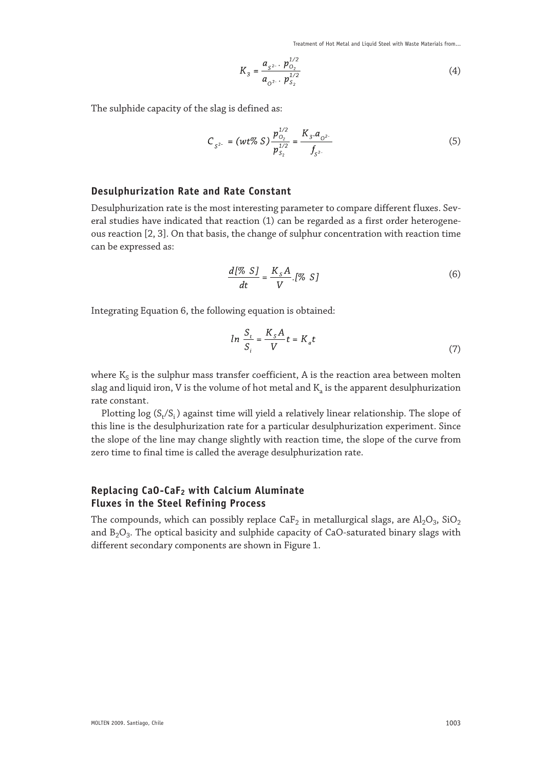Treatment of Hot Metal and Liquid Steel with Waste Materials from...

$$
K_3 = \frac{a_{S^{2-}} \cdot p_{O_2}^{1/2}}{a_{O^{2-}} \cdot p_{S_2}^{1/2}}
$$
 (4)

The sulphide capacity of the slag is defined as:

$$
C_{S^{2-}} = (wt\% S) \frac{p_{O_2}^{1/2}}{p_{S_2}^{1/2}} = \frac{K_3 \cdot a_{O^{2-}}}{f_{S^{2-}}} \tag{5}
$$

## **Desulphurization Rate and Rate Constant**

Desulphurization rate is the most interesting parameter to compare different fluxes. Several studies have indicated that reaction (1) can be regarded as a first order heterogeneous reaction [2, 3]. On that basis, the change of sulphur concentration with reaction time can be expressed as:

$$
\frac{d[\% S]}{dt} = \frac{K_s A}{V} \cdot [\% S] \tag{6}
$$

Integrating Equation 6, the following equation is obtained:

$$
ln \frac{S_t}{S_i} = \frac{K_s A}{V} t = K_a t \tag{7}
$$

where  $K_S$  is the sulphur mass transfer coefficient,  $A$  is the reaction area between molten slag and liquid iron, V is the volume of hot metal and  $K_a$  is the apparent desulphurization rate constant.

Plotting log  $(S_t/S_i)$  against time will yield a relatively linear relationship. The slope of this line is the desulphurization rate for a particular desulphurization experiment. Since the slope of the line may change slightly with reaction time, the slope of the curve from zero time to final time is called the average desulphurization rate.

## **Replacing CaO-CaF2 with Calcium Aluminate Fluxes in the Steel Refining Process**

The compounds, which can possibly replace CaF<sub>2</sub> in metallurgical slags, are Al<sub>2</sub>O<sub>3</sub>, SiO<sub>2</sub> and  $B_2O_3$ . The optical basicity and sulphide capacity of CaO-saturated binary slags with different secondary components are shown in Figure 1.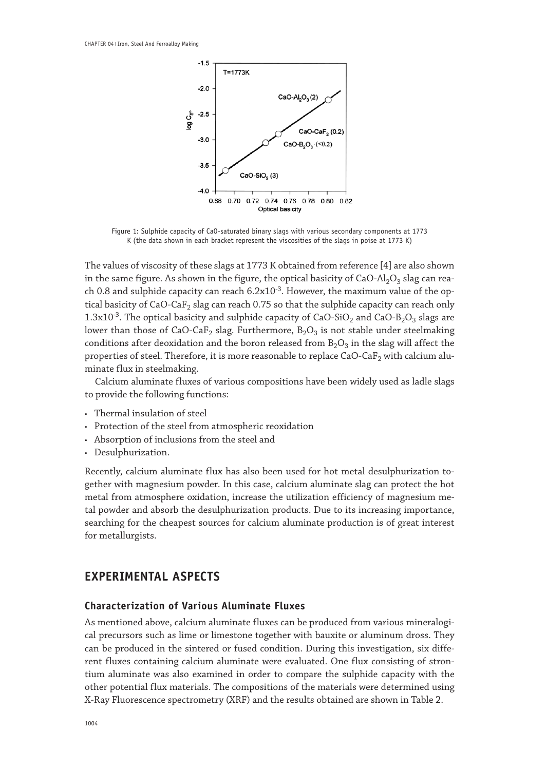

Figure 1: Sulphide capacity of CaO-saturated binary slags with various secondary components at 1773 K (the data shown in each bracket represent the viscosities of the slags in poise at 1773 K)

The values of viscosity of these slags at 1773 K obtained from reference [4] are also shown in the same figure. As shown in the figure, the optical basicity of  $CaO-AI<sub>2</sub>O<sub>3</sub>$  slag can reach 0.8 and sulphide capacity can reach  $6.2x10^{-3}$ . However, the maximum value of the optical basicity of CaO-CaF<sub>2</sub> slag can reach 0.75 so that the sulphide capacity can reach only  $1.3x10^{-3}$ . The optical basicity and sulphide capacity of CaO-SiO<sub>2</sub> and CaO-B<sub>2</sub>O<sub>3</sub> slags are lower than those of CaO-CaF<sub>2</sub> slag. Furthermore,  $B_2O_3$  is not stable under steelmaking conditions after deoxidation and the boron released from  $B_2O_3$  in the slag will affect the properties of steel. Therefore, it is more reasonable to replace CaO-Ca $F_2$  with calcium aluminate flux in steelmaking.

Calcium aluminate fluxes of various compositions have been widely used as ladle slags to provide the following functions:

- Thermal insulation of steel
- • Protection of the steel from atmospheric reoxidation
- • Absorption of inclusions from the steel and
- Desulphurization.

Recently, calcium aluminate flux has also been used for hot metal desulphurization together with magnesium powder. In this case, calcium aluminate slag can protect the hot metal from atmosphere oxidation, increase the utilization efficiency of magnesium metal powder and absorb the desulphurization products. Due to its increasing importance, searching for the cheapest sources for calcium aluminate production is of great interest for metallurgists.

## **EXPERIMENTAL ASPECTS**

#### **Characterization of Various Aluminate Fluxes**

As mentioned above, calcium aluminate fluxes can be produced from various mineralogical precursors such as lime or limestone together with bauxite or aluminum dross. They can be produced in the sintered or fused condition. During this investigation, six different fluxes containing calcium aluminate were evaluated. One flux consisting of strontium aluminate was also examined in order to compare the sulphide capacity with the other potential flux materials. The compositions of the materials were determined using X-Ray Fluorescence spectrometry (XRF) and the results obtained are shown in Table 2.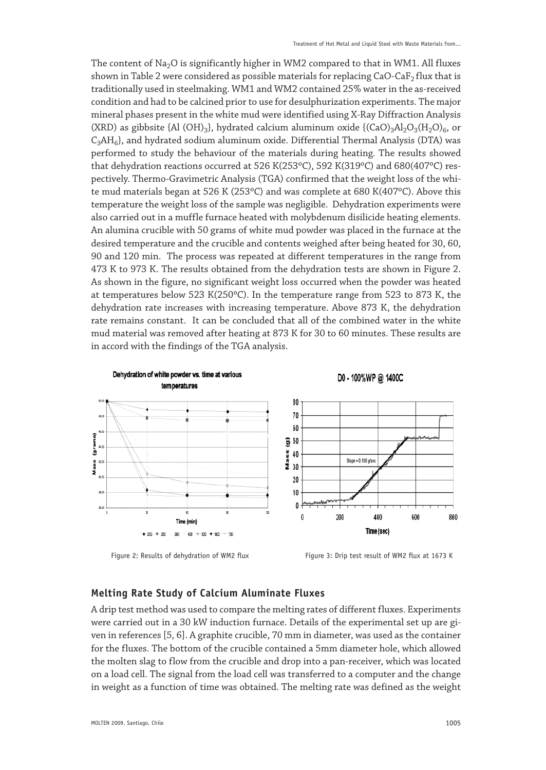The content of  $Na<sub>2</sub>O$  is significantly higher in WM2 compared to that in WM1. All fluxes shown in Table 2 were considered as possible materials for replacing CaO-CaF<sub>2</sub> flux that is traditionally used in steelmaking. WM1 and WM2 contained 25% water in the as-received condition and had to be calcined prior to use for desulphurization experiments. The major mineral phases present in the white mud were identified using X-Ray Diffraction Analysis (XRD) as gibbsite {Al (OH)<sub>3</sub>}, hydrated calcium aluminum oxide { $(CaO)<sub>3</sub>Al<sub>2</sub>O<sub>3</sub>(H<sub>2</sub>O)<sub>6</sub>$ , or  $C_3AH_6$ , and hydrated sodium aluminum oxide. Differential Thermal Analysis (DTA) was performed to study the behaviour of the materials during heating. The results showed that dehydration reactions occurred at 526 K(253ºC), 592 K(319ºC) and 680(407ºC) respectively. Thermo-Gravimetric Analysis (TGA) confirmed that the weight loss of the white mud materials began at 526 K (253ºC) and was complete at 680 K(407ºC). Above this temperature the weight loss of the sample was negligible. Dehydration experiments were also carried out in a muffle furnace heated with molybdenum disilicide heating elements. An alumina crucible with 50 grams of white mud powder was placed in the furnace at the desired temperature and the crucible and contents weighed after being heated for 30, 60, 90 and 120 min. The process was repeated at different temperatures in the range from 473 K to 973 K. The results obtained from the dehydration tests are shown in Figure 2. As shown in the figure, no significant weight loss occurred when the powder was heated at temperatures below 523 K(250ºC). In the temperature range from 523 to 873 K, the dehydration rate increases with increasing temperature. Above 873 K, the dehydration rate remains constant. It can be concluded that all of the combined water in the white mud material was removed after heating at 873 K for 30 to 60 minutes. These results are in accord with the findings of the TGA analysis.



Figure 2: Results of dehydration of WM2 flux Figure 3: Drip test result of WM2 flux at 1673 K

#### **Melting Rate Study of Calcium Aluminate Fluxes**

A drip test method was used to compare the melting rates of different fluxes. Experiments were carried out in a 30 kW induction furnace. Details of the experimental set up are given in references [5, 6]. A graphite crucible, 70 mm in diameter, was used as the container for the fluxes. The bottom of the crucible contained a 5mm diameter hole, which allowed the molten slag to flow from the crucible and drop into a pan-receiver, which was located on a load cell. The signal from the load cell was transferred to a computer and the change in weight as a function of time was obtained. The melting rate was defined as the weight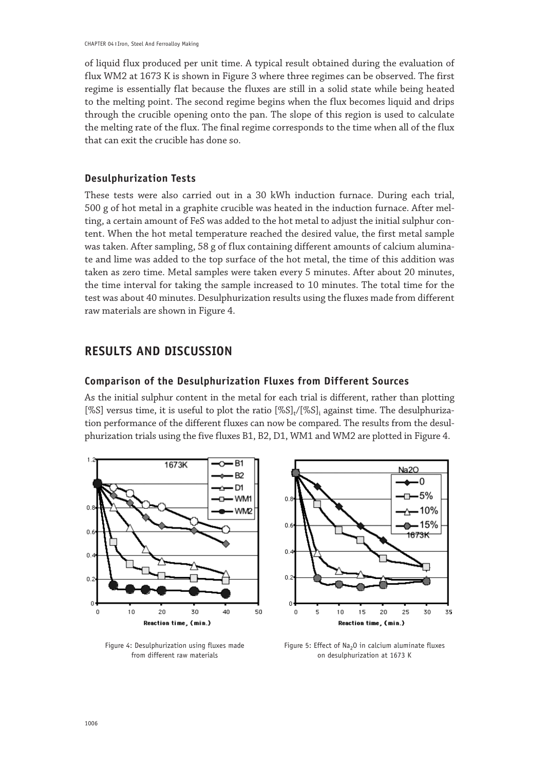of liquid flux produced per unit time. A typical result obtained during the evaluation of flux WM2 at 1673 K is shown in Figure 3 where three regimes can be observed. The first regime is essentially flat because the fluxes are still in a solid state while being heated to the melting point. The second regime begins when the flux becomes liquid and drips through the crucible opening onto the pan. The slope of this region is used to calculate the melting rate of the flux. The final regime corresponds to the time when all of the flux that can exit the crucible has done so.

#### **Desulphurization Tests**

These tests were also carried out in a 30 kWh induction furnace. During each trial, 500 g of hot metal in a graphite crucible was heated in the induction furnace. After melting, a certain amount of FeS was added to the hot metal to adjust the initial sulphur content. When the hot metal temperature reached the desired value, the first metal sample was taken. After sampling, 58 g of flux containing different amounts of calcium aluminate and lime was added to the top surface of the hot metal, the time of this addition was taken as zero time. Metal samples were taken every 5 minutes. After about 20 minutes, the time interval for taking the sample increased to 10 minutes. The total time for the test was about 40 minutes. Desulphurization results using the fluxes made from different raw materials are shown in Figure 4.

## **RESULTS AND DISCUSSION**

#### **Comparison of the Desulphurization Fluxes from Different Sources**

As the initial sulphur content in the metal for each trial is different, rather than plotting [%S] versus time, it is useful to plot the ratio  $[\%S]_t/[\%S]_i$  against time. The desulphurization performance of the different fluxes can now be compared. The results from the desulphurization trials using the five fluxes B1, B2, D1, WM1 and WM2 are plotted in Figure 4.





Figure 4: Desulphurization using fluxes made Figure 5: Effect of Na<sub>2</sub>O in calcium aluminate fluxes<br>Figure on desulphurization at 1673 K<br>on desulphurization at 1673 K on desulphurization at 1673 K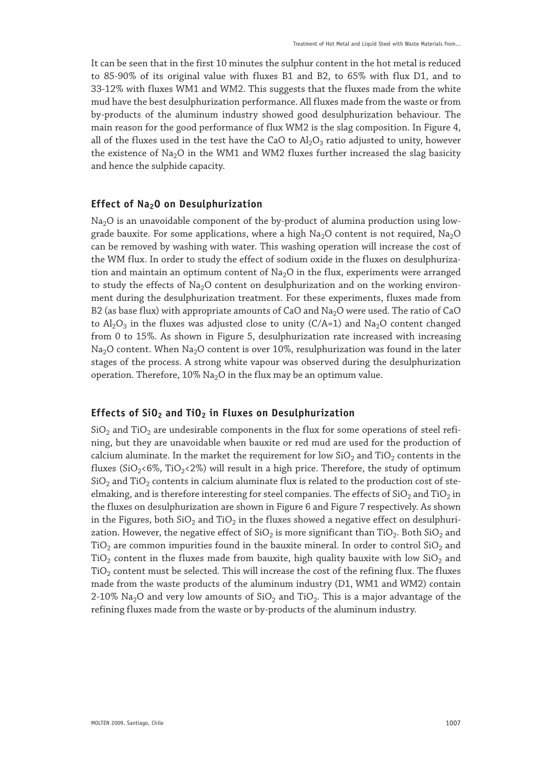It can be seen that in the first 10 minutes the sulphur content in the hot metal is reduced to 85-90% of its original value with fluxes B1 and B2, to 65% with flux D1, and to 33-12% with fluxes WM1 and WM2. This suggests that the fluxes made from the white mud have the best desulphurization performance. All fluxes made from the waste or from by-products of the aluminum industry showed good desulphurization behaviour. The main reason for the good performance of flux WM2 is the slag composition. In Figure 4, all of the fluxes used in the test have the CaO to  $\text{Al}_2\text{O}_3$  ratio adjusted to unity, however the existence of  $Na<sub>2</sub>O$  in the WM1 and WM2 fluxes further increased the slag basicity and hence the sulphide capacity.

#### **Effect of Na2O on Desulphurization**

 $Na<sub>2</sub>O$  is an unavoidable component of the by-product of alumina production using lowgrade bauxite. For some applications, where a high  $Na<sub>2</sub>O$  content is not required,  $Na<sub>2</sub>O$ can be removed by washing with water. This washing operation will increase the cost of the WM flux. In order to study the effect of sodium oxide in the fluxes on desulphurization and maintain an optimum content of  $Na<sub>2</sub>O$  in the flux, experiments were arranged to study the effects of  $Na<sub>2</sub>O$  content on desulphurization and on the working environment during the desulphurization treatment. For these experiments, fluxes made from B2 (as base flux) with appropriate amounts of CaO and  $Na<sub>2</sub>O$  were used. The ratio of CaO to  $Al_2O_3$  in the fluxes was adjusted close to unity (C/A=1) and Na<sub>2</sub>O content changed from 0 to 15%. As shown in Figure 5, desulphurization rate increased with increasing Na<sub>2</sub>O content. When Na<sub>2</sub>O content is over 10%, resulphurization was found in the later stages of the process. A strong white vapour was observed during the desulphurization operation. Therefore,  $10\%$  Na<sub>2</sub>O in the flux may be an optimum value.

#### **Effects of SiO2 and TiO2 in Fluxes on Desulphurization**

 $SiO<sub>2</sub>$  and TiO<sub>2</sub> are undesirable components in the flux for some operations of steel refining, but they are unavoidable when bauxite or red mud are used for the production of calcium aluminate. In the market the requirement for low  $SiO<sub>2</sub>$  and TiO<sub>2</sub> contents in the fluxes (SiO<sub>2</sub><6%, TiO<sub>2</sub><2%) will result in a high price. Therefore, the study of optimum  $SiO<sub>2</sub>$  and TiO<sub>2</sub> contents in calcium aluminate flux is related to the production cost of steelmaking, and is therefore interesting for steel companies. The effects of  $SiO<sub>2</sub>$  and  $TiO<sub>2</sub>$  in the fluxes on desulphurization are shown in Figure 6 and Figure 7 respectively. As shown in the Figures, both  $SiO<sub>2</sub>$  and  $TiO<sub>2</sub>$  in the fluxes showed a negative effect on desulphurization. However, the negative effect of  $SiO<sub>2</sub>$  is more significant than TiO<sub>2</sub>. Both  $SiO<sub>2</sub>$  and TiO<sub>2</sub> are common impurities found in the bauxite mineral. In order to control SiO<sub>2</sub> and TiO<sub>2</sub> content in the fluxes made from bauxite, high quality bauxite with low  $SiO<sub>2</sub>$  and  $TiO<sub>2</sub>$  content must be selected. This will increase the cost of the refining flux. The fluxes made from the waste products of the aluminum industry (D1, WM1 and WM2) contain 2-10% Na<sub>2</sub>O and very low amounts of  $SiO<sub>2</sub>$  and TiO<sub>2</sub>. This is a major advantage of the refining fluxes made from the waste or by-products of the aluminum industry.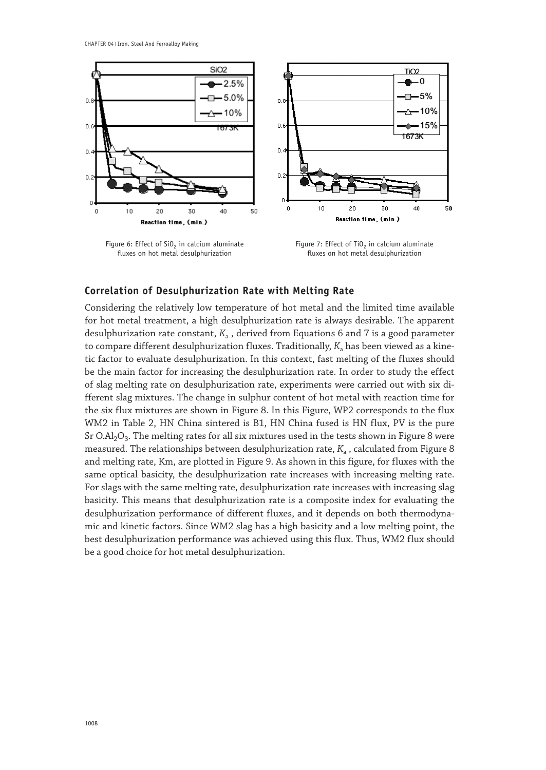

Figure 6: Effect of  $SiO_2$  in calcium aluminate Figure 7: Effect of  $TiO_2$  in calcium aluminate fluxes on hot metal desulphurization fluxes on hot metal desulphurization fluxes on hot metal desulphurization

#### **Correlation of Desulphurization Rate with Melting Rate**

Considering the relatively low temperature of hot metal and the limited time available for hot metal treatment, a high desulphurization rate is always desirable. The apparent desulphurization rate constant,  $K_a$ , derived from Equations 6 and 7 is a good parameter to compare different desulphurization fluxes. Traditionally,  $K_a$  has been viewed as a kinetic factor to evaluate desulphurization. In this context, fast melting of the fluxes should be the main factor for increasing the desulphurization rate. In order to study the effect of slag melting rate on desulphurization rate, experiments were carried out with six different slag mixtures. The change in sulphur content of hot metal with reaction time for the six flux mixtures are shown in Figure 8. In this Figure, WP2 corresponds to the flux WM2 in Table 2, HN China sintered is B1, HN China fused is HN flux, PV is the pure Sr O.Al<sub>2</sub>O<sub>3</sub>. The melting rates for all six mixtures used in the tests shown in Figure 8 were measured. The relationships between desulphurization rate,  $K_a$ , calculated from Figure 8 and melting rate, Km, are plotted in Figure 9. As shown in this figure, for fluxes with the same optical basicity, the desulphurization rate increases with increasing melting rate. For slags with the same melting rate, desulphurization rate increases with increasing slag basicity. This means that desulphurization rate is a composite index for evaluating the desulphurization performance of different fluxes, and it depends on both thermodynamic and kinetic factors. Since WM2 slag has a high basicity and a low melting point, the best desulphurization performance was achieved using this flux. Thus, WM2 flux should be a good choice for hot metal desulphurization.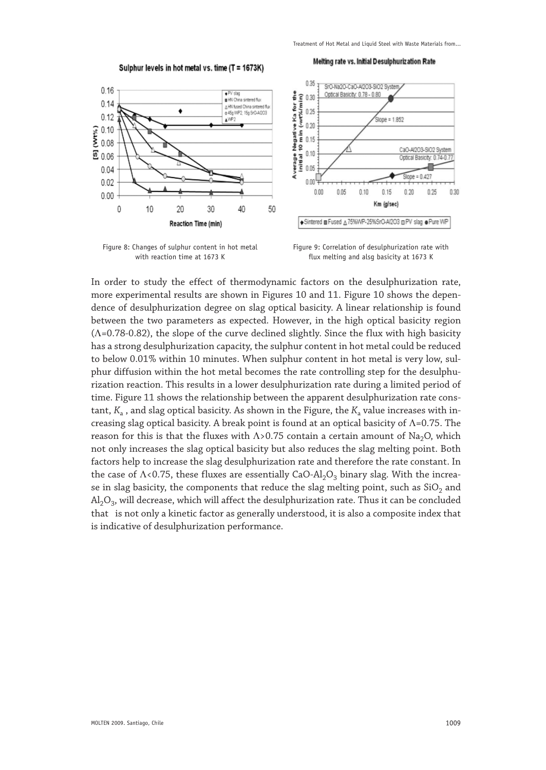Sulphur levels in hot metal vs. time (T = 1673K)

Melting rate vs. Initial Desulphurization Rate







In order to study the effect of thermodynamic factors on the desulphurization rate, more experimental results are shown in Figures 10 and 11. Figure 10 shows the dependence of desulphurization degree on slag optical basicity. A linear relationship is found between the two parameters as expected. However, in the high optical basicity region (Λ=0.78-0.82), the slope of the curve declined slightly. Since the flux with high basicity has a strong desulphurization capacity, the sulphur content in hot metal could be reduced to below 0.01% within 10 minutes. When sulphur content in hot metal is very low, sulphur diffusion within the hot metal becomes the rate controlling step for the desulphurization reaction. This results in a lower desulphurization rate during a limited period of time. Figure 11 shows the relationship between the apparent desulphurization rate constant,  $K_a$ , and slag optical basicity. As shown in the Figure, the  $K_a$  value increases with increasing slag optical basicity. A break point is found at an optical basicity of Λ=0.75. The reason for this is that the fluxes with  $\Lambda$ >0.75 contain a certain amount of Na<sub>2</sub>O, which not only increases the slag optical basicity but also reduces the slag melting point. Both factors help to increase the slag desulphurization rate and therefore the rate constant. In the case of  $\Lambda$ <0.75, these fluxes are essentially CaO-Al<sub>2</sub>O<sub>3</sub> binary slag. With the increase in slag basicity, the components that reduce the slag melting point, such as  $SiO<sub>2</sub>$  and  $AI_2O_3$ , will decrease, which will affect the desulphurization rate. Thus it can be concluded that is not only a kinetic factor as generally understood, it is also a composite index that is indicative of desulphurization performance.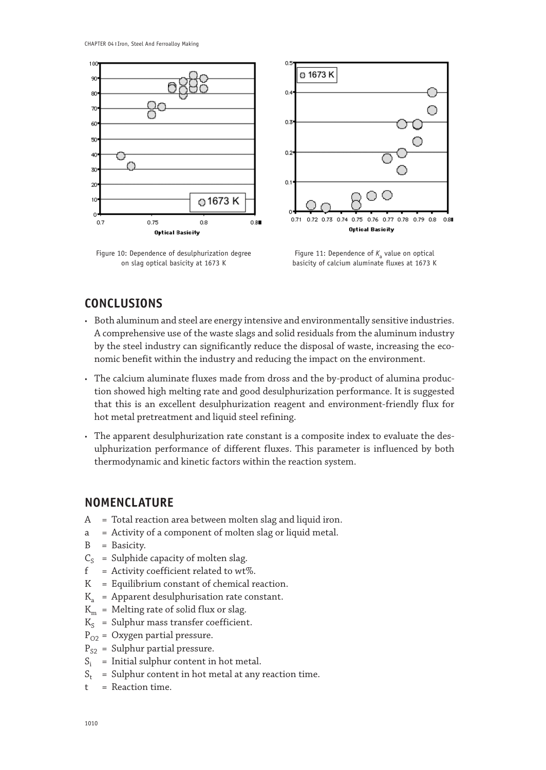

Figure 10: Dependence of desulphurization degree Figure 11: Dependence of *K*<sub>a</sub> value on optical<br>on slag optical basicity at 1673 K<br>basicity of calcium aluminate fluxes at 1673 K



basicity of calcium aluminate fluxes at 1673 K

# **CONCLUSIONS**

- • Both aluminum and steel are energy intensive and environmentally sensitive industries. A comprehensive use of the waste slags and solid residuals from the aluminum industry by the steel industry can significantly reduce the disposal of waste, increasing the economic benefit within the industry and reducing the impact on the environment.
- The calcium aluminate fluxes made from dross and the by-product of alumina production showed high melting rate and good desulphurization performance. It is suggested that this is an excellent desulphurization reagent and environment-friendly flux for hot metal pretreatment and liquid steel refining.
- The apparent desulphurization rate constant is a composite index to evaluate the desulphurization performance of different fluxes. This parameter is influenced by both thermodynamic and kinetic factors within the reaction system.

## **NOMENCLATURE**

- A = Total reaction area between molten slag and liquid iron.
- a = Activity of a component of molten slag or liquid metal.
- B = Basicity.
- $C_S$  = Sulphide capacity of molten slag.<br> $f$  = Activity coefficient related to wt
- $=$  Activity coefficient related to wt%.
- K = Equilibrium constant of chemical reaction.
- $K<sub>a</sub>$  = Apparent desulphurisation rate constant.
- $K_m$  = Melting rate of solid flux or slag.
- $K_S$  = Sulphur mass transfer coefficient.
- $P_{O2}$  = Oxygen partial pressure.
- $P_{S2}$  = Sulphur partial pressure.
- $S_i$  = Initial sulphur content in hot metal.<br> $S_i$  = Sulphur content in hot metal at any
- = Sulphur content in hot metal at any reaction time.
- $t =$  Reaction time.